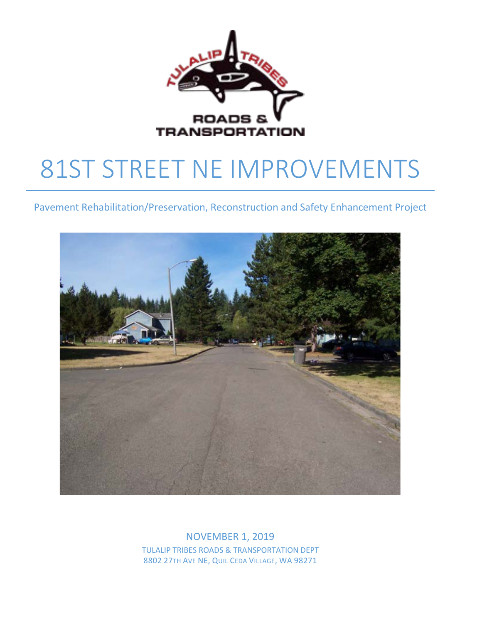

# 81ST STREET NE IMPROVEMENTS

Pavement Rehabilitation/Preservation, Reconstruction and Safety Enhancement Project



NOVEMBER 1, 2019 TULALIP TRIBES ROADS & TRANSPORTATION DEPT 8802 27TH AVE NE, QUIL CEDA VILLAGE, WA 98271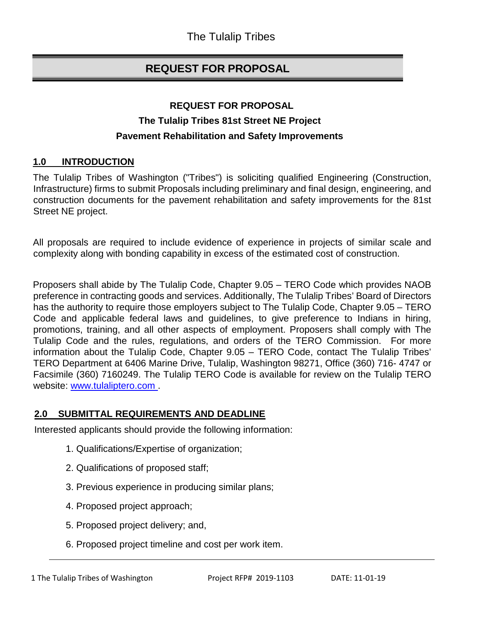# **REQUEST FOR PROPOSAL**

## **REQUEST FOR PROPOSAL The Tulalip Tribes 81st Street NE Project Pavement Rehabilitation and Safety Improvements**

## **1.0 INTRODUCTION**

The Tulalip Tribes of Washington ("Tribes") is soliciting qualified Engineering (Construction, Infrastructure) firms to submit Proposals including preliminary and final design, engineering, and construction documents for the pavement rehabilitation and safety improvements for the 81st Street NE project.

All proposals are required to include evidence of experience in projects of similar scale and complexity along with bonding capability in excess of the estimated cost of construction.

Proposers shall abide by The Tulalip Code, Chapter 9.05 – TERO Code which provides NAOB preference in contracting goods and services. Additionally, The Tulalip Tribes' Board of Directors has the authority to require those employers subject to The Tulalip Code, Chapter 9.05 – TERO Code and applicable federal laws and guidelines, to give preference to Indians in hiring, promotions, training, and all other aspects of employment. Proposers shall comply with The Tulalip Code and the rules, regulations, and orders of the TERO Commission. For more information about the Tulalip Code, Chapter 9.05 – TERO Code, contact The Tulalip Tribes' TERO Department at 6406 Marine Drive, Tulalip, Washington 98271, Office (360) 716- 4747 or Facsimile (360) 7160249. The Tulalip TERO Code is available for review on the Tulalip TERO website: [www.tulaliptero.com](http://www.tulaliptero.com/) [.](http://www.tulaliptero.com/)

#### **2.0 SUBMITTAL REQUIREMENTS AND DEADLINE**

Interested applicants should provide the following information:

- 1. Qualifications/Expertise of organization;
- 2. Qualifications of proposed staff;
- 3. Previous experience in producing similar plans;
- 4. Proposed project approach;
- 5. Proposed project delivery; and,
- 6. Proposed project timeline and cost per work item.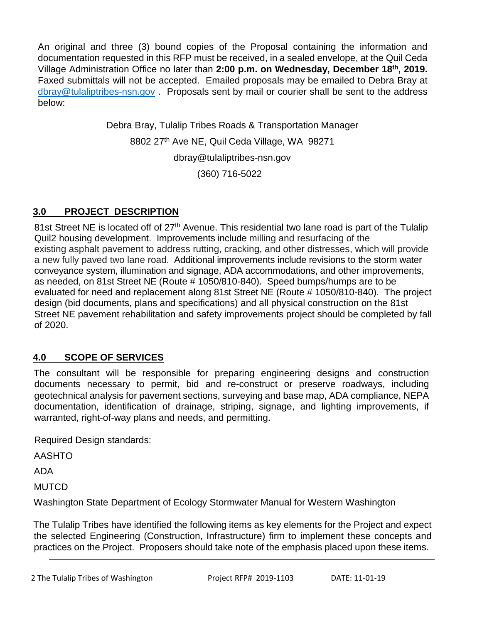An original and three (3) bound copies of the Proposal containing the information and documentation requested in this RFP must be received, in a sealed envelope, at the Quil Ceda Village Administration Office no later than **2:00 p.m. on Wednesday, December 18th, 2019.** Faxed submittals will not be accepted. Emailed proposals may be emailed to Debra Bray at [dbray@tulaliptribes-nsn.gov](mailto:dbray@tulaliptribes-nsn.gov) . Proposals sent by mail or courier shall be sent to the address below:

> Debra Bray, Tulalip Tribes Roads & Transportation Manager 8802 27<sup>th</sup> Ave NE, Quil Ceda Village, WA 98271 [dbray@tulaliptribes-nsn.gov](mailto:dbray@tulaliptribes-nsn.gov) (360) 716-5022

## **3.0 PROJECT DESCRIPTION**

81st Street NE is located off of 27<sup>th</sup> Avenue. This residential two lane road is part of the Tulalip Quil2 housing development. Improvements include milling and resurfacing of the existing asphalt pavement to address rutting, cracking, and other distresses, which will provide a new fully paved two lane road. Additional improvements include revisions to the storm water conveyance system, illumination and signage, ADA accommodations, and other improvements, as needed, on 81st Street NE (Route # 1050/810-840). Speed bumps/humps are to be evaluated for need and replacement along 81st Street NE (Route # 1050/810-840). The project design (bid documents, plans and specifications) and all physical construction on the 81st Street NE pavement rehabilitation and safety improvements project should be completed by fall of 2020.

## **4.0 SCOPE OF SERVICES**

The consultant will be responsible for preparing engineering designs and construction documents necessary to permit, bid and re-construct or preserve roadways, including geotechnical analysis for pavement sections, surveying and base map, ADA compliance, NEPA documentation, identification of drainage, striping, signage, and lighting improvements, if warranted, right-of-way plans and needs, and permitting.

Required Design standards:

AASHTO

ADA

**MUTCD** 

Washington State Department of Ecology Stormwater Manual for Western Washington

The Tulalip Tribes have identified the following items as key elements for the Project and expect the selected Engineering (Construction, Infrastructure) firm to implement these concepts and practices on the Project. Proposers should take note of the emphasis placed upon these items.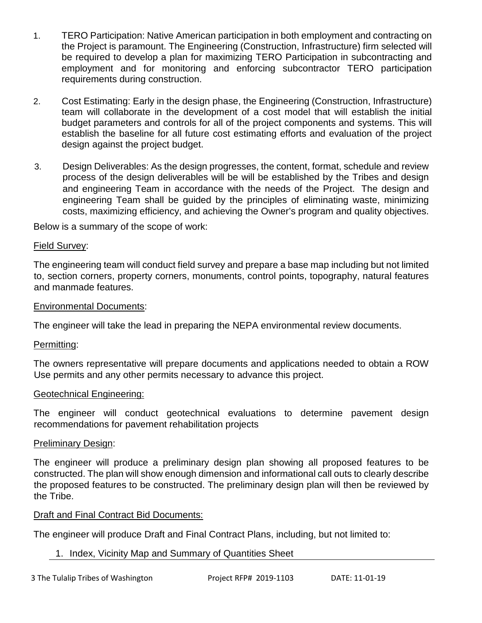- 1. TERO Participation: Native American participation in both employment and contracting on the Project is paramount. The Engineering (Construction, Infrastructure) firm selected will be required to develop a plan for maximizing TERO Participation in subcontracting and employment and for monitoring and enforcing subcontractor TERO participation requirements during construction.
- 2. Cost Estimating: Early in the design phase, the Engineering (Construction, Infrastructure) team will collaborate in the development of a cost model that will establish the initial budget parameters and controls for all of the project components and systems. This will establish the baseline for all future cost estimating efforts and evaluation of the project design against the project budget.
- 3. Design Deliverables: As the design progresses, the content, format, schedule and review process of the design deliverables will be will be established by the Tribes and design and engineering Team in accordance with the needs of the Project. The design and engineering Team shall be guided by the principles of eliminating waste, minimizing costs, maximizing efficiency, and achieving the Owner's program and quality objectives.

Below is a summary of the scope of work:

#### Field Survey:

The engineering team will conduct field survey and prepare a base map including but not limited to, section corners, property corners, monuments, control points, topography, natural features and manmade features.

#### Environmental Documents:

The engineer will take the lead in preparing the NEPA environmental review documents.

#### Permitting:

The owners representative will prepare documents and applications needed to obtain a ROW Use permits and any other permits necessary to advance this project.

#### Geotechnical Engineering:

The engineer will conduct geotechnical evaluations to determine pavement design recommendations for pavement rehabilitation projects

#### Preliminary Design:

The engineer will produce a preliminary design plan showing all proposed features to be constructed. The plan will show enough dimension and informational call outs to clearly describe the proposed features to be constructed. The preliminary design plan will then be reviewed by the Tribe.

## Draft and Final Contract Bid Documents:

The engineer will produce Draft and Final Contract Plans, including, but not limited to:

## 1. Index, Vicinity Map and Summary of Quantities Sheet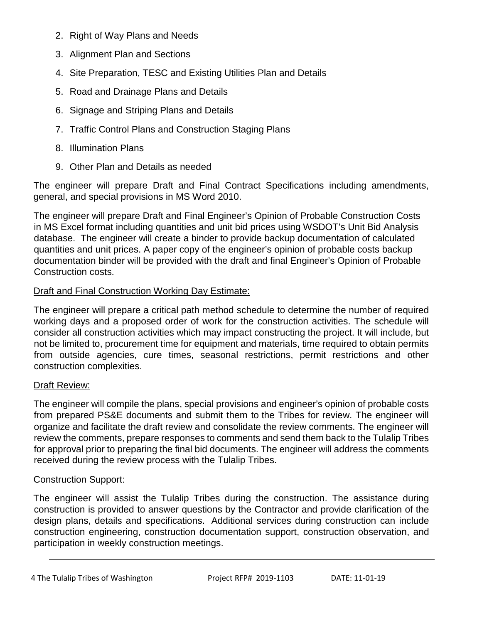- 2. Right of Way Plans and Needs
- 3. Alignment Plan and Sections
- 4. Site Preparation, TESC and Existing Utilities Plan and Details
- 5. Road and Drainage Plans and Details
- 6. Signage and Striping Plans and Details
- 7. Traffic Control Plans and Construction Staging Plans
- 8. Illumination Plans
- 9. Other Plan and Details as needed

The engineer will prepare Draft and Final Contract Specifications including amendments, general, and special provisions in MS Word 2010.

The engineer will prepare Draft and Final Engineer's Opinion of Probable Construction Costs in MS Excel format including quantities and unit bid prices using WSDOT's Unit Bid Analysis database. The engineer will create a binder to provide backup documentation of calculated quantities and unit prices. A paper copy of the engineer's opinion of probable costs backup documentation binder will be provided with the draft and final Engineer's Opinion of Probable Construction costs.

## Draft and Final Construction Working Day Estimate:

The engineer will prepare a critical path method schedule to determine the number of required working days and a proposed order of work for the construction activities. The schedule will consider all construction activities which may impact constructing the project. It will include, but not be limited to, procurement time for equipment and materials, time required to obtain permits from outside agencies, cure times, seasonal restrictions, permit restrictions and other construction complexities.

## Draft Review:

The engineer will compile the plans, special provisions and engineer's opinion of probable costs from prepared PS&E documents and submit them to the Tribes for review. The engineer will organize and facilitate the draft review and consolidate the review comments. The engineer will review the comments, prepare responses to comments and send them back to the Tulalip Tribes for approval prior to preparing the final bid documents. The engineer will address the comments received during the review process with the Tulalip Tribes.

## Construction Support:

The engineer will assist the Tulalip Tribes during the construction. The assistance during construction is provided to answer questions by the Contractor and provide clarification of the design plans, details and specifications. Additional services during construction can include construction engineering, construction documentation support, construction observation, and participation in weekly construction meetings.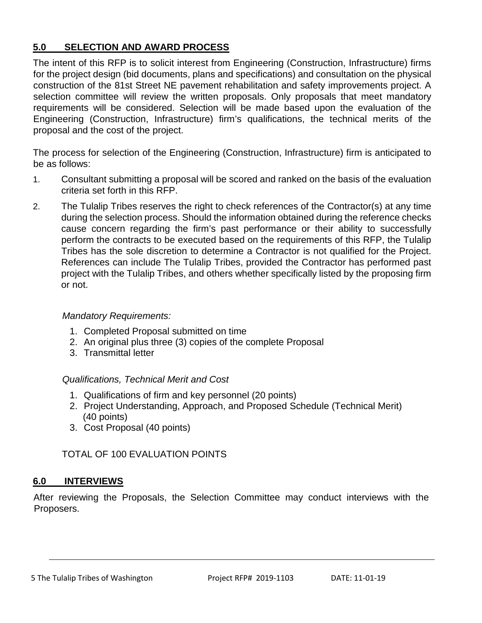## **5.0 SELECTION AND AWARD PROCESS**

The intent of this RFP is to solicit interest from Engineering (Construction, Infrastructure) firms for the project design (bid documents, plans and specifications) and consultation on the physical construction of the 81st Street NE pavement rehabilitation and safety improvements project. A selection committee will review the written proposals. Only proposals that meet mandatory requirements will be considered. Selection will be made based upon the evaluation of the Engineering (Construction, Infrastructure) firm's qualifications, the technical merits of the proposal and the cost of the project.

The process for selection of the Engineering (Construction, Infrastructure) firm is anticipated to be as follows:

- 1. Consultant submitting a proposal will be scored and ranked on the basis of the evaluation criteria set forth in this RFP.
- 2. The Tulalip Tribes reserves the right to check references of the Contractor(s) at any time during the selection process. Should the information obtained during the reference checks cause concern regarding the firm's past performance or their ability to successfully perform the contracts to be executed based on the requirements of this RFP, the Tulalip Tribes has the sole discretion to determine a Contractor is not qualified for the Project. References can include The Tulalip Tribes, provided the Contractor has performed past project with the Tulalip Tribes, and others whether specifically listed by the proposing firm or not.

#### *Mandatory Requirements:*

- 1. Completed Proposal submitted on time
- 2. An original plus three (3) copies of the complete Proposal
- 3. Transmittal letter

#### *Qualifications, Technical Merit and Cost*

- 1. Qualifications of firm and key personnel (20 points)
- 2. Project Understanding, Approach, and Proposed Schedule (Technical Merit) (40 points)
- 3. Cost Proposal (40 points)

## TOTAL OF 100 EVALUATION POINTS

#### **6.0 INTERVIEWS**

After reviewing the Proposals, the Selection Committee may conduct interviews with the Proposers.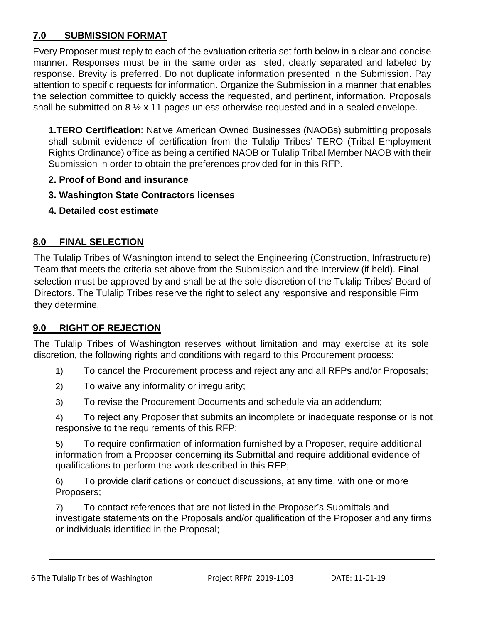## **7.0 SUBMISSION FORMAT**

Every Proposer must reply to each of the evaluation criteria set forth below in a clear and concise manner. Responses must be in the same order as listed, clearly separated and labeled by response. Brevity is preferred. Do not duplicate information presented in the Submission. Pay attention to specific requests for information. Organize the Submission in a manner that enables the selection committee to quickly access the requested, and pertinent, information. Proposals shall be submitted on 8 ½ x 11 pages unless otherwise requested and in a sealed envelope.

**1.TERO Certification**: Native American Owned Businesses (NAOBs) submitting proposals shall submit evidence of certification from the Tulalip Tribes' TERO (Tribal Employment Rights Ordinance) office as being a certified NAOB or Tulalip Tribal Member NAOB with their Submission in order to obtain the preferences provided for in this RFP.

- **2. Proof of Bond and insurance**
- **3. Washington State Contractors licenses**
- **4. Detailed cost estimate**

## **8.0 FINAL SELECTION**

The Tulalip Tribes of Washington intend to select the Engineering (Construction, Infrastructure) Team that meets the criteria set above from the Submission and the Interview (if held). Final selection must be approved by and shall be at the sole discretion of the Tulalip Tribes' Board of Directors. The Tulalip Tribes reserve the right to select any responsive and responsible Firm they determine.

## **9.0 RIGHT OF REJECTION**

The Tulalip Tribes of Washington reserves without limitation and may exercise at its sole discretion, the following rights and conditions with regard to this Procurement process:

- 1) To cancel the Procurement process and reject any and all RFPs and/or Proposals;
- 2) To waive any informality or irregularity;
- 3) To revise the Procurement Documents and schedule via an addendum;

4) To reject any Proposer that submits an incomplete or inadequate response or is not responsive to the requirements of this RFP;

5) To require confirmation of information furnished by a Proposer, require additional information from a Proposer concerning its Submittal and require additional evidence of qualifications to perform the work described in this RFP;

6) To provide clarifications or conduct discussions, at any time, with one or more Proposers;

7) To contact references that are not listed in the Proposer's Submittals and investigate statements on the Proposals and/or qualification of the Proposer and any firms or individuals identified in the Proposal;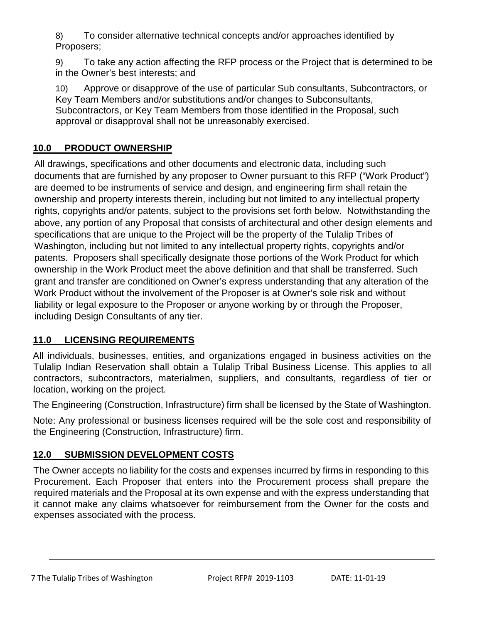8) To consider alternative technical concepts and/or approaches identified by Proposers;

9) To take any action affecting the RFP process or the Project that is determined to be in the Owner's best interests; and

10) Approve or disapprove of the use of particular Sub consultants, Subcontractors, or Key Team Members and/or substitutions and/or changes to Subconsultants, Subcontractors, or Key Team Members from those identified in the Proposal, such approval or disapproval shall not be unreasonably exercised.

## **10.0 PRODUCT OWNERSHIP**

All drawings, specifications and other documents and electronic data, including such documents that are furnished by any proposer to Owner pursuant to this RFP ("Work Product") are deemed to be instruments of service and design, and engineering firm shall retain the ownership and property interests therein, including but not limited to any intellectual property rights, copyrights and/or patents, subject to the provisions set forth below. Notwithstanding the above, any portion of any Proposal that consists of architectural and other design elements and specifications that are unique to the Project will be the property of the Tulalip Tribes of Washington, including but not limited to any intellectual property rights, copyrights and/or patents. Proposers shall specifically designate those portions of the Work Product for which ownership in the Work Product meet the above definition and that shall be transferred. Such grant and transfer are conditioned on Owner's express understanding that any alteration of the Work Product without the involvement of the Proposer is at Owner's sole risk and without liability or legal exposure to the Proposer or anyone working by or through the Proposer, including Design Consultants of any tier.

## **11.0 LICENSING REQUIREMENTS**

All individuals, businesses, entities, and organizations engaged in business activities on the Tulalip Indian Reservation shall obtain a Tulalip Tribal Business License. This applies to all contractors, subcontractors, materialmen, suppliers, and consultants, regardless of tier or location, working on the project.

The Engineering (Construction, Infrastructure) firm shall be licensed by the State of Washington.

Note: Any professional or business licenses required will be the sole cost and responsibility of the Engineering (Construction, Infrastructure) firm.

## **12.0 SUBMISSION DEVELOPMENT COSTS**

The Owner accepts no liability for the costs and expenses incurred by firms in responding to this Procurement. Each Proposer that enters into the Procurement process shall prepare the required materials and the Proposal at its own expense and with the express understanding that it cannot make any claims whatsoever for reimbursement from the Owner for the costs and expenses associated with the process.